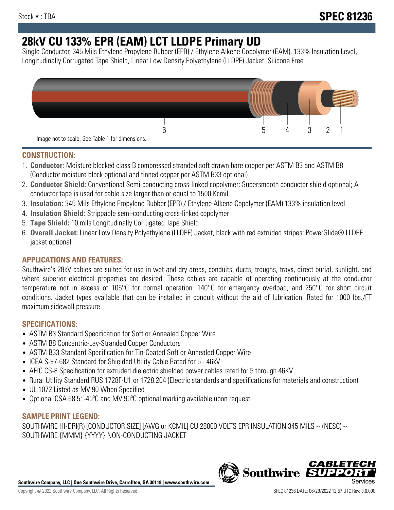# **28kV CU 133% EPR (EAM) LCT LLDPE Primary UD**

Single Conductor, 345 Mils Ethylene Propylene Rubber (EPR) / Ethylene Alkene Copolymer (EAM), 133% Insulation Level, Longitudinally Corrugated Tape Shield, Linear Low Density Polyethylene (LLDPE) Jacket. Silicone Free



## **CONSTRUCTION:**

- 1. **Conductor:** Moisture blocked class B compressed stranded soft drawn bare copper per ASTM B3 and ASTM B8 (Conductor moisture block optional and tinned copper per ASTM B33 optional)
- 2. **Conductor Shield:** Conventional Semi-conducting cross-linked copolymer; Supersmooth conductor shield optional; A conductor tape is used for cable size larger than or equal to 1500 Kcmil
- 3. **Insulation:** 345 Mils Ethylene Propylene Rubber (EPR) / Ethylene Alkene Copolymer (EAM) 133% insulation level
- 4. **Insulation Shield:** Strippable semi-conducting cross-linked copolymer
- 5. **Tape Shield:** 10 mils Longitudinally Corrugated Tape Shield
- 6. **Overall Jacket:** Linear Low Density Polyethylene (LLDPE) Jacket, black with red extruded stripes; PowerGlide® LLDPE jacket optional

# **APPLICATIONS AND FEATURES:**

Southwire's 28kV cables are suited for use in wet and dry areas, conduits, ducts, troughs, trays, direct burial, sunlight, and where superior electrical properties are desired. These cables are capable of operating continuously at the conductor temperature not in excess of 105°C for normal operation. 140°C for emergency overload, and 250°C for short circuit conditions. Jacket types available that can be installed in conduit without the aid of lubrication. Rated for 1000 lbs./FT maximum sidewall pressure.

## **SPECIFICATIONS:**

- ASTM B3 Standard Specification for Soft or Annealed Copper Wire
- ASTM B8 Concentric-Lay-Stranded Copper Conductors
- ASTM B33 Standard Specification for Tin-Coated Soft or Annealed Copper Wire
- ICEA S-97-682 Standard for Shielded Utility Cable Rated for 5 46kV
- AEIC CS-8 Specification for extruded dielectric shielded power cables rated for 5 through 46KV
- Rural Utility Standard RUS 1728F-U1 or 1728.204 (Electric standards and specifications for materials and construction)
- UL 1072 Listed as MV 90 When Specified
- Optional CSA 68.5: -40ºC and MV 90ºC optional marking available upon request

# **SAMPLE PRINT LEGEND:**

SOUTHWIRE HI-DRI(R) [CONDUCTOR SIZE] [AWG or KCMIL] CU 28000 VOLTS EPR INSULATION 345 MILS -- (NESC) -- SOUTHWIRE {MMM} {YYYY} NON-CONDUCTING JACKET

**Southwire Company, LLC | One Southwire Drive, Carrollton, GA 30119 | www.southwire.com**